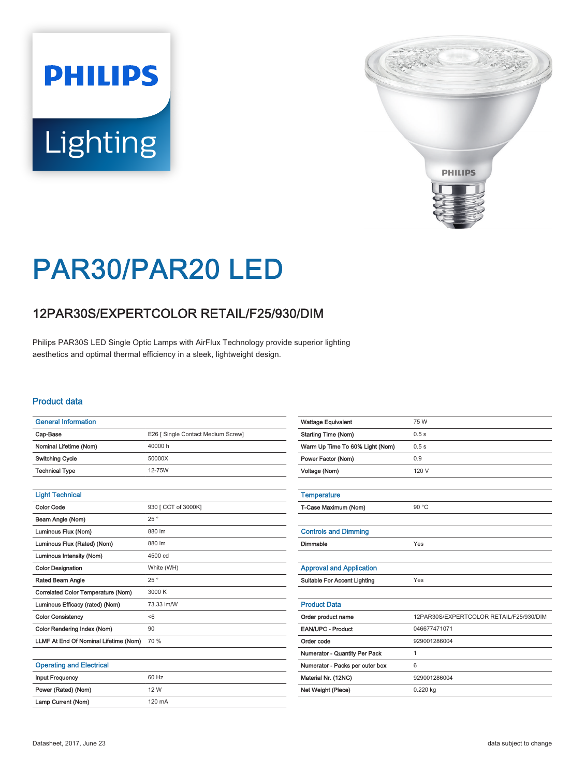# **PHILIPS** Lighting



## PAR30/PAR20 LED

### 12PAR30S/EXPERTCOLOR RETAIL/F25/930/DIM

Philips PAR30S LED Single Optic Lamps with AirFlux Technology provide superior lighting aesthetics and optimal thermal efficiency in a sleek, lightweight design.

#### Product data

| <b>General Information</b>            |                                    |
|---------------------------------------|------------------------------------|
| Cap-Base                              | E26 [ Single Contact Medium Screw] |
| Nominal Lifetime (Nom)                | 40000 h                            |
| <b>Switching Cycle</b>                | 50000X                             |
| <b>Technical Type</b>                 | 12-75W                             |
|                                       |                                    |
| <b>Light Technical</b>                |                                    |
| <b>Color Code</b>                     | 930 [ CCT of 3000K]                |
| Beam Angle (Nom)                      | 25°                                |
| Luminous Flux (Nom)                   | 880 lm                             |
| Luminous Flux (Rated) (Nom)           | 880 lm                             |
| Luminous Intensity (Nom)              | 4500 cd                            |
| <b>Color Designation</b>              | White (WH)                         |
| Rated Beam Angle                      | 25°                                |
| Correlated Color Temperature (Nom)    | 3000 K                             |
| Luminous Efficacy (rated) (Nom)       | 73.33 lm/W                         |
| <b>Color Consistency</b>              | < 6                                |
| Color Rendering Index (Nom)           | 90                                 |
| LLMF At End Of Nominal Lifetime (Nom) | 70 %                               |
|                                       |                                    |

| <b>Operating and Electrical</b> |                  |
|---------------------------------|------------------|
| <b>Input Frequency</b>          | 60 Hz            |
| Power (Rated) (Nom)             | 12 W             |
| Lamp Current (Nom)              | $120 \text{ mA}$ |

| <b>Starting Time (Nom)</b><br>0.5s                            |  |
|---------------------------------------------------------------|--|
|                                                               |  |
| Warm Up Time To 60% Light (Nom)<br>0.5s                       |  |
| 0.9<br>Power Factor (Nom)                                     |  |
| 120 V<br>Voltage (Nom)                                        |  |
|                                                               |  |
| <b>Temperature</b>                                            |  |
| T-Case Maximum (Nom)<br>90 °C                                 |  |
|                                                               |  |
| <b>Controls and Dimming</b>                                   |  |
| Dimmable<br>Yes                                               |  |
|                                                               |  |
| <b>Approval and Application</b>                               |  |
| <b>Suitable For Accent Lighting</b><br>Yes                    |  |
|                                                               |  |
| <b>Product Data</b>                                           |  |
| 12PAR30S/EXPERTCOLOR RETAIL/F25/930/DIM<br>Order product name |  |
| <b>EAN/UPC - Product</b><br>046677471071                      |  |
| Order code<br>929001286004                                    |  |
| Numerator - Quantity Per Pack<br>1                            |  |
| Numerator - Packs per outer box<br>6                          |  |
|                                                               |  |
| 929001286004<br>Material Nr. (12NC)                           |  |